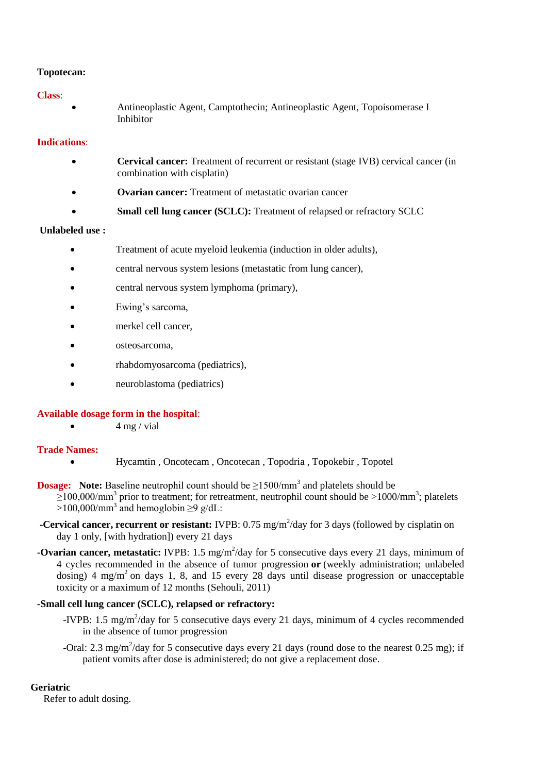## **Topotecan:**

## **Class**:

 Antineoplastic Agent, Camptothecin; Antineoplastic Agent, Topoisomerase I Inhibitor

# **Indications**:

- **Cervical cancer:** Treatment of recurrent or resistant (stage IVB) cervical cancer (in combination with cisplatin)
- **Ovarian cancer:** Treatment of metastatic ovarian cancer
- **Small cell lung cancer (SCLC):** Treatment of relapsed or refractory SCLC

# **Unlabeled use :**

- Treatment of acute myeloid leukemia (induction in older adults),
- central nervous system lesions (metastatic from lung cancer),
- central nervous system lymphoma (primary),
- Ewing's sarcoma,
- merkel cell cancer,
- osteosarcoma,
- rhabdomyosarcoma (pediatrics),
- neuroblastoma (pediatrics)

### **Available dosage form in the hospital**:

 $4 \text{ mg} / \text{vial}$ 

## **Trade Names:**

- Hycamtin , Oncotecam , Oncotecan , Topodria , Topokebir , Topotel
- **Dosage:** Note: Baseline neutrophil count should be  $\geq$ 1500/mm<sup>3</sup> and platelets should be  $\geq$ 100,000/mm<sup>3</sup> prior to treatment; for retreatment, neutrophil count should be >1000/mm<sup>3</sup>; platelets >100,000/mm<sup>3</sup> and hemoglobin  $\geq$ 9 g/dL:
- **-Cervical cancer, recurrent or resistant:** IVPB: 0.75 mg/m<sup>2</sup>/day for 3 days (followed by cisplatin on day 1 only, [with hydration]) every 21 days
- **-Ovarian cancer, metastatic:** IVPB: 1.5 mg/m<sup>2</sup>/day for 5 consecutive days every 21 days, minimum of 4 cycles recommended in the absence of tumor progression **or** (weekly administration; unlabeled dosing) 4 mg/m<sup>2</sup> on days 1, 8, and 15 every 28 days until disease progression or unacceptable toxicity or a maximum of 12 months (Sehouli, 2011)

### **-Small cell lung cancer (SCLC), relapsed or refractory:**

- -IVPB: 1.5 mg/m<sup>2</sup>/day for 5 consecutive days every 21 days, minimum of 4 cycles recommended in the absence of tumor progression
- -Oral: 2.3 mg/m<sup>2</sup>/day for 5 consecutive days every 21 days (round dose to the nearest 0.25 mg); if patient vomits after dose is administered; do not give a replacement dose.

### **Geriatric**

Refer to adult dosing.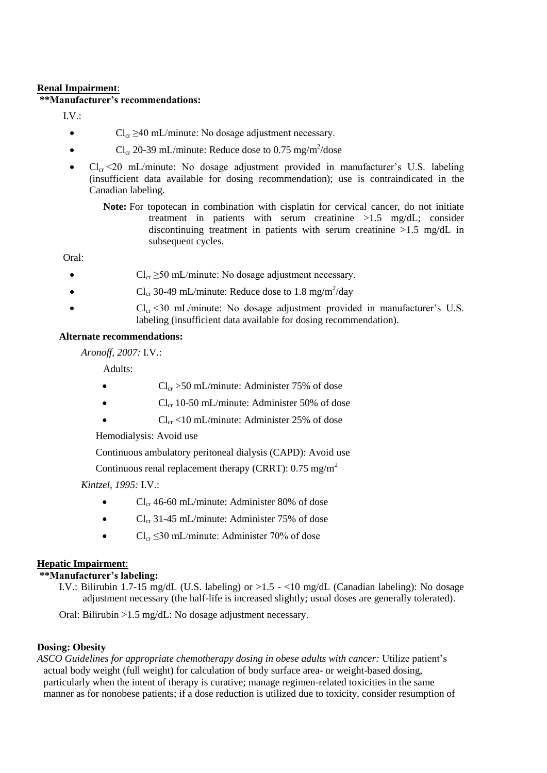## **Renal Impairment**:

## **\*\*Manufacturer's recommendations:**

IV ·

- $Cl_{cr} \geq 40 \text{ mL/minute}$ : No dosage adjustment necessary.
- Cl<sub>cr</sub> 20-39 mL/minute: Reduce dose to 0.75 mg/m<sup>2</sup>/dose
- $Cl_{cr}$  <20 mL/minute: No dosage adjustment provided in manufacturer's U.S. labeling (insufficient data available for dosing recommendation); use is contraindicated in the Canadian labeling.
	- **Note:** For topotecan in combination with cisplatin for cervical cancer, do not initiate treatment in patients with serum creatinine >1.5 mg/dL; consider discontinuing treatment in patients with serum creatinine >1.5 mg/dL in subsequent cycles.

Oral:

- $Cl_{cr} \geq 50 \text{ mL/minute}$ : No dosage adjustment necessary.
- Cl<sub>cr</sub> 30-49 mL/minute: Reduce dose to 1.8 mg/m<sup>2</sup>/day
- $Cl_{cr}$  <30 mL/minute: No dosage adjustment provided in manufacturer's U.S. labeling (insufficient data available for dosing recommendation).

# **Alternate recommendations:**

*Aronoff, 2007:* I.V.:

Adults:

- $Cl_{cr} > 50 \text{ mL/minute}$ : Administer 75% of dose
- $Cl_{cr}$  10-50 mL/minute: Administer 50% of dose
- $Cl_{cr}$  <10 mL/minute: Administer 25% of dose

Hemodialysis: Avoid use

Continuous ambulatory peritoneal dialysis (CAPD): Avoid use

Continuous renal replacement therapy (CRRT):  $0.75 \text{ mg/m}^2$ 

*Kintzel, 1995:* I.V.:

- $\bullet$  Cl<sub>cr</sub> 46-60 mL/minute: Administer 80% of dose
- $\bullet$  Cl<sub>cr</sub> 31-45 mL/minute: Administer 75% of dose
- $Cl_{cr} \leq 30$  mL/minute: Administer 70% of dose

# **Hepatic Impairment**:

### **\*\*Manufacturer's labeling:**

I.V.: Bilirubin 1.7-15 mg/dL (U.S. labeling) or  $>1.5 - 10$  mg/dL (Canadian labeling): No dosage adjustment necessary (the half-life is increased slightly; usual doses are generally tolerated).

Oral: Bilirubin >1.5 mg/dL: No dosage adjustment necessary.

# **Dosing: Obesity**

*ASCO Guidelines for appropriate chemotherapy dosing in obese adults with cancer:* Utilize patient's actual body weight (full weight) for calculation of body surface area- or weight-based dosing, particularly when the intent of therapy is curative; manage regimen-related toxicities in the same manner as for nonobese patients; if a dose reduction is utilized due to toxicity, consider resumption of